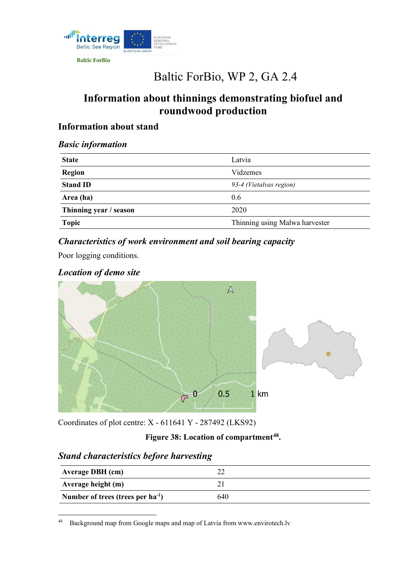

**Baltic ForBio** 

# Baltic ForBio, WP 2, GA 2.4

## **Information about thinnings demonstrating biofuel and roundwood production**

#### **Information about stand**

#### *Basic information*

| <b>State</b>           | Latvia                         |
|------------------------|--------------------------------|
| <b>Region</b>          | Vidzemes                       |
| <b>Stand ID</b>        | 93-4 (Vietalvas region)        |
| Area (ha)              | 0.6                            |
| Thinning year / season | 2020                           |
| <b>Topic</b>           | Thinning using Malwa harvester |

### *Characteristics of work environment and soil bearing capacity*

Poor logging conditions.

#### *Location of demo site*



Coordinates of plot centre: X - 611641 Y - 287492 (LKS92)

#### **Figure 38: Location of compartment[48](#page-0-0).**

#### *Stand characteristics before harvesting*

| <b>Average DBH</b> (cm)                |     |
|----------------------------------------|-----|
| Average height (m)                     |     |
| Number of trees (trees per $ha^{-1}$ ) | 640 |

<span id="page-0-0"></span><sup>48</sup> [Background map from Google maps and map of Latvia from www.envirotech.lv](http://www.envirotech.lv/)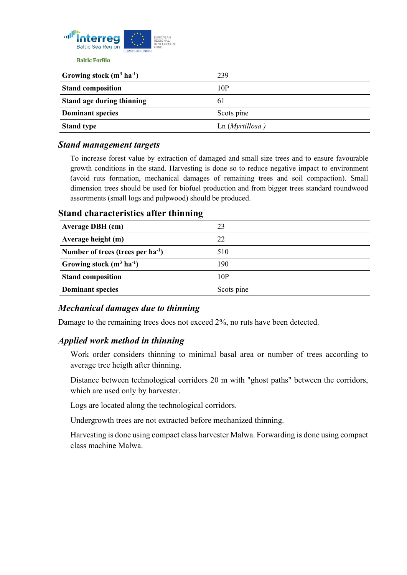

| Growing stock $(m^3 \text{ ha}^{-1})$ | 239            |
|---------------------------------------|----------------|
| <b>Stand composition</b>              | 10P            |
| <b>Stand age during thinning</b>      | 61             |
| <b>Dominant species</b>               | Scots pine     |
| <b>Stand type</b>                     | Ln(Myrtillosa) |

#### *Stand management targets*

To increase forest value by extraction of damaged and small size trees and to ensure favourable growth conditions in the stand. Harvesting is done so to reduce negative impact to environment (avoid ruts formation, mechanical damages of remaining trees and soil compaction). Small dimension trees should be used for biofuel production and from bigger trees standard roundwood assortments (small logs and pulpwood) should be produced.

#### **Stand characteristics after thinning Average DBH (cm)** 23 **Average height (m)** 22 **Number of trees (trees per ha-1 )** 510 **Growing stock (m3 ha-1 )** 190 **Stand composition** 10P **Dominant species** Scots pine

#### *Mechanical damages due to thinning*

Damage to the remaining trees does not exceed 2%, no ruts have been detected.

#### *Applied work method in thinning*

Work order considers thinning to minimal basal area or number of trees according to average tree heigth after thinning.

Distance between technological corridors 20 m with "ghost paths" between the corridors, which are used only by harvester.

Logs are located along the technological corridors.

Undergrowth trees are not extracted before mechanized thinning.

Harvesting is done using compact class harvester Malwa. Forwarding is done using compact class machine Malwa.